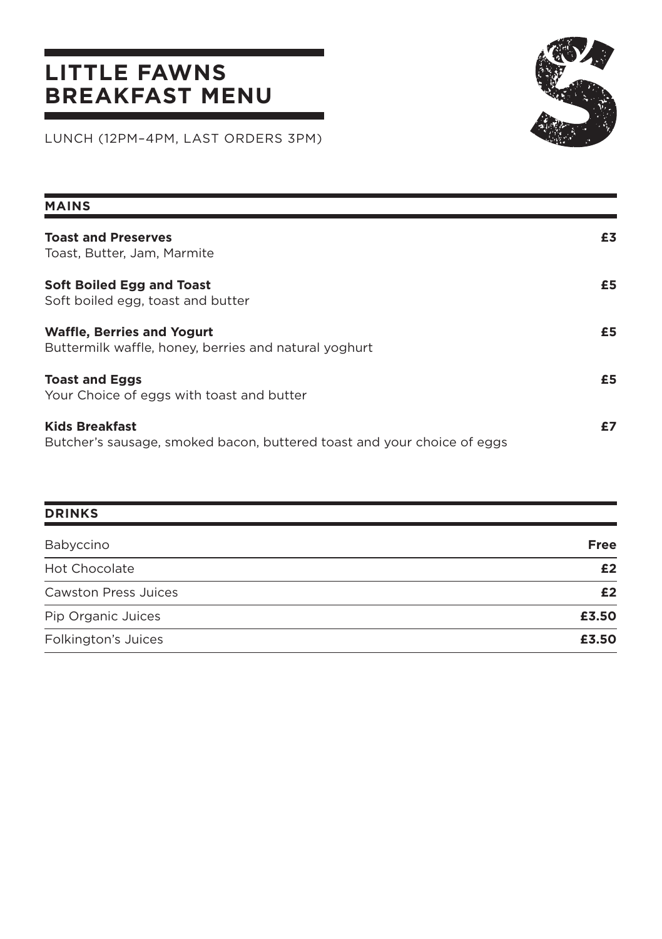## **LITTLE FAWNS BREAKFAST MENU**



LUNCH (12PM–4PM, LAST ORDERS 3PM)

| <b>MAINS</b>                                                                                     |    |
|--------------------------------------------------------------------------------------------------|----|
| <b>Toast and Preserves</b><br>Toast, Butter, Jam, Marmite                                        | £3 |
| Soft Boiled Egg and Toast<br>Soft boiled egg, toast and butter                                   | £5 |
| <b>Waffle, Berries and Yogurt</b><br>Buttermilk waffle, honey, berries and natural yoghurt       | £5 |
| <b>Toast and Eggs</b><br>Your Choice of eggs with toast and butter                               | £5 |
| <b>Kids Breakfast</b><br>Butcher's sausage, smoked bacon, buttered toast and your choice of eggs | £7 |

| <b>DRINKS</b>               |             |
|-----------------------------|-------------|
| Babyccino                   | <b>Free</b> |
| <b>Hot Chocolate</b>        | £2          |
| <b>Cawston Press Juices</b> | £2          |
| Pip Organic Juices          | £3.50       |
| Folkington's Juices         | £3.50       |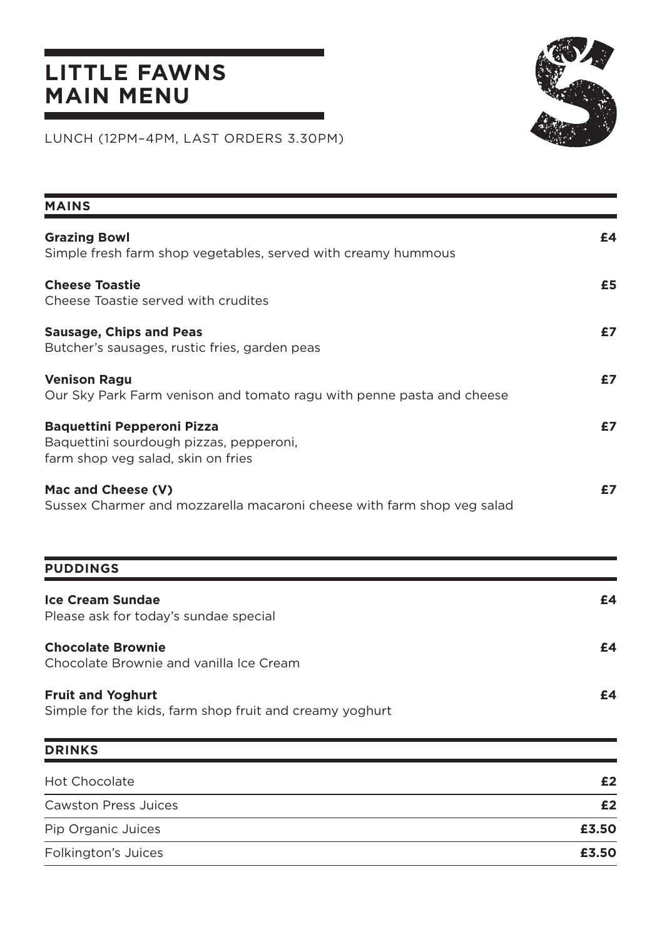## **LITTLE FAWNS MAIN MENU**



LUNCH (12PM–4PM, LAST ORDERS 3.30PM)

| <b>MAINS</b>                                                                                                       |       |
|--------------------------------------------------------------------------------------------------------------------|-------|
| <b>Grazing Bowl</b><br>Simple fresh farm shop vegetables, served with creamy hummous                               | £4    |
| <b>Cheese Toastie</b><br>Cheese Toastie served with crudites                                                       | £5    |
| <b>Sausage, Chips and Peas</b><br>Butcher's sausages, rustic fries, garden peas                                    | £7    |
| <b>Venison Ragu</b><br>Our Sky Park Farm venison and tomato ragu with penne pasta and cheese                       | £7    |
| <b>Baquettini Pepperoni Pizza</b><br>Baquettini sourdough pizzas, pepperoni,<br>farm shop veg salad, skin on fries | £7    |
| Mac and Cheese (V)<br>Sussex Charmer and mozzarella macaroni cheese with farm shop veg salad                       | £7    |
| <b>PUDDINGS</b>                                                                                                    |       |
| <b>Ice Cream Sundae</b><br>Please ask for today's sundae special                                                   | £4    |
| <b>Chocolate Brownie</b><br>Chocolate Brownie and vanilla Ice Cream                                                | £4    |
| <b>Fruit and Yoghurt</b><br>Simple for the kids, farm shop fruit and creamy yoghurt                                | £4    |
| <b>DRINKS</b>                                                                                                      |       |
| <b>Hot Chocolate</b>                                                                                               | £2    |
| <b>Cawston Press Juices</b>                                                                                        | £2    |
| Pip Organic Juices                                                                                                 | £3.50 |
| Folkington's Juices                                                                                                | £3.50 |